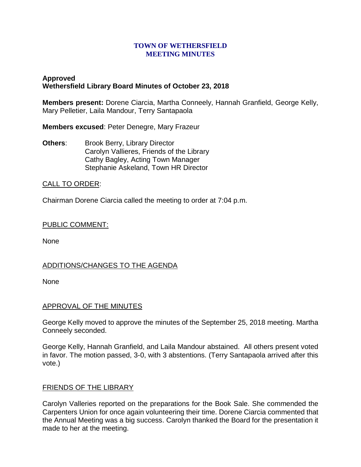#### **TOWN OF WETHERSFIELD MEETING MINUTES**

# **Approved Wethersfield Library Board Minutes of October 23, 2018**

**Members present:** Dorene Ciarcia, Martha Conneely, Hannah Granfield, George Kelly, Mary Pelletier, Laila Mandour, Terry Santapaola

**Members excused**: Peter Denegre, Mary Frazeur

**Others:** Brook Berry, Library Director Carolyn Vallieres, Friends of the Library Cathy Bagley, Acting Town Manager Stephanie Askeland, Town HR Director

## CALL TO ORDER:

Chairman Dorene Ciarcia called the meeting to order at 7:04 p.m.

#### PUBLIC COMMENT:

None

## ADDITIONS/CHANGES TO THE AGENDA

None

## APPROVAL OF THE MINUTES

George Kelly moved to approve the minutes of the September 25, 2018 meeting. Martha Conneely seconded.

George Kelly, Hannah Granfield, and Laila Mandour abstained. All others present voted in favor. The motion passed, 3-0, with 3 abstentions. (Terry Santapaola arrived after this vote.)

## FRIENDS OF THE LIBRARY

Carolyn Valleries reported on the preparations for the Book Sale. She commended the Carpenters Union for once again volunteering their time. Dorene Ciarcia commented that the Annual Meeting was a big success. Carolyn thanked the Board for the presentation it made to her at the meeting.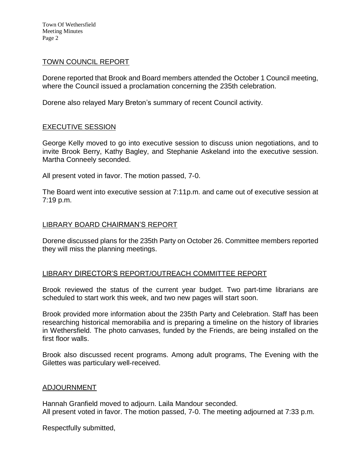Town Of Wethersfield Meeting Minutes Page 2

#### TOWN COUNCIL REPORT

Dorene reported that Brook and Board members attended the October 1 Council meeting, where the Council issued a proclamation concerning the 235th celebration.

Dorene also relayed Mary Breton's summary of recent Council activity.

## EXECUTIVE SESSION

George Kelly moved to go into executive session to discuss union negotiations, and to invite Brook Berry, Kathy Bagley, and Stephanie Askeland into the executive session. Martha Conneely seconded.

All present voted in favor. The motion passed, 7-0.

The Board went into executive session at 7:11p.m. and came out of executive session at 7:19 p.m.

## LIBRARY BOARD CHAIRMAN'S REPORT

Dorene discussed plans for the 235th Party on October 26. Committee members reported they will miss the planning meetings.

## LIBRARY DIRECTOR'S REPORT/OUTREACH COMMITTEE REPORT

Brook reviewed the status of the current year budget. Two part-time librarians are scheduled to start work this week, and two new pages will start soon.

Brook provided more information about the 235th Party and Celebration. Staff has been researching historical memorabilia and is preparing a timeline on the history of libraries in Wethersfield. The photo canvases, funded by the Friends, are being installed on the first floor walls.

Brook also discussed recent programs. Among adult programs, The Evening with the Gilettes was particulary well-received.

#### ADJOURNMENT

Hannah Granfield moved to adjourn. Laila Mandour seconded. All present voted in favor. The motion passed, 7-0. The meeting adjourned at 7:33 p.m.

Respectfully submitted,